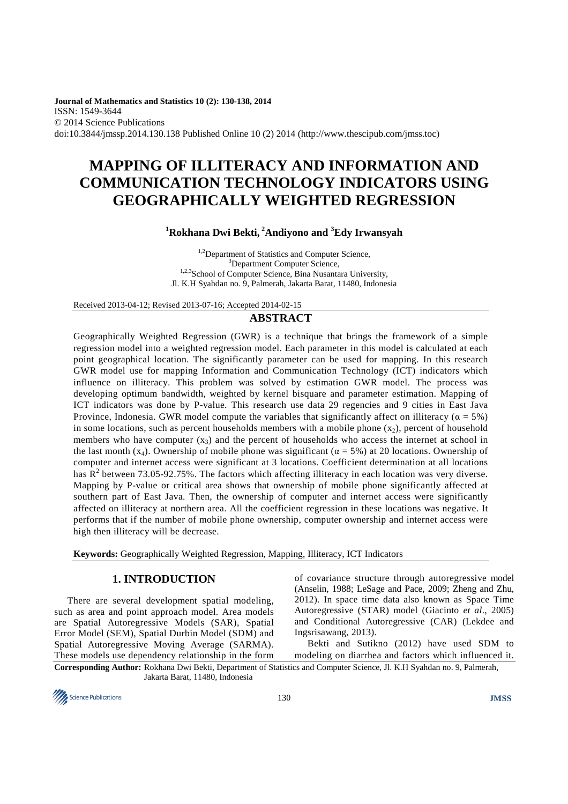**Journal of Mathematics and Statistics 10 (2): 130-138, 2014**  ISSN: 1549-3644 © 2014 Science Publications doi:10.3844/jmssp.2014.130.138 Published Online 10 (2) 2014 (http://www.thescipub.com/jmss.toc)

# **MAPPING OF ILLITERACY AND INFORMATION AND COMMUNICATION TECHNOLOGY INDICATORS USING GEOGRAPHICALLY WEIGHTED REGRESSION**

# **<sup>1</sup>Rokhana Dwi Bekti,<sup>2</sup>Andiyono and <sup>3</sup>Edy Irwansyah**

<sup>1,2</sup>Department of Statistics and Computer Science, <sup>3</sup>Department Computer Science, <sup>1,2,3</sup>School of Computer Science, Bina Nusantara University, Jl. K.H Syahdan no. 9, Palmerah, Jakarta Barat, 11480, Indonesia

Received 2013-04-12; Revised 2013-07-16; Accepted 2014-02-15

## **ABSTRACT**

Geographically Weighted Regression (GWR) is a technique that brings the framework of a simple regression model into a weighted regression model. Each parameter in this model is calculated at each point geographical location. The significantly parameter can be used for mapping. In this research GWR model use for mapping Information and Communication Technology (ICT) indicators which influence on illiteracy. This problem was solved by estimation GWR model. The process was developing optimum bandwidth, weighted by kernel bisquare and parameter estimation. Mapping of ICT indicators was done by P-value. This research use data 29 regencies and 9 cities in East Java Province, Indonesia. GWR model compute the variables that significantly affect on illiteracy ( $\alpha = 5\%$ ) in some locations, such as percent households members with a mobile phone  $(x<sub>2</sub>)$ , percent of household members who have computer  $(x_3)$  and the percent of households who access the internet at school in the last month (x<sub>4</sub>). Ownership of mobile phone was significant ( $\alpha = 5\%$ ) at 20 locations. Ownership of computer and internet access were significant at 3 locations. Coefficient determination at all locations has  $R^2$  between 73.05-92.75%. The factors which affecting illiteracy in each location was very diverse. Mapping by P-value or critical area shows that ownership of mobile phone significantly affected at southern part of East Java. Then, the ownership of computer and internet access were significantly affected on illiteracy at northern area. All the coefficient regression in these locations was negative. It performs that if the number of mobile phone ownership, computer ownership and internet access were high then illiteracy will be decrease.

**Keywords:** Geographically Weighted Regression, Mapping, Illiteracy, ICT Indicators

## **1. INTRODUCTION**

There are several development spatial modeling, such as area and point approach model. Area models are Spatial Autoregressive Models (SAR), Spatial Error Model (SEM), Spatial Durbin Model (SDM) and Spatial Autoregressive Moving Average (SARMA). These models use dependency relationship in the form of covariance structure through autoregressive model (Anselin, 1988; LeSage and Pace, 2009; Zheng and Zhu, 2012). In space time data also known as Space Time Autoregressive (STAR) model (Giacinto *et al*., 2005) and Conditional Autoregressive (CAR) (Lekdee and Ingsrisawang, 2013).

Bekti and Sutikno (2012) have used SDM to modeling on diarrhea and factors which influenced it.

**Corresponding Author:** Rokhana Dwi Bekti, Department of Statistics and Computer Science, Jl. K.H Syahdan no. 9, Palmerah, Jakarta Barat, 11480, Indonesia

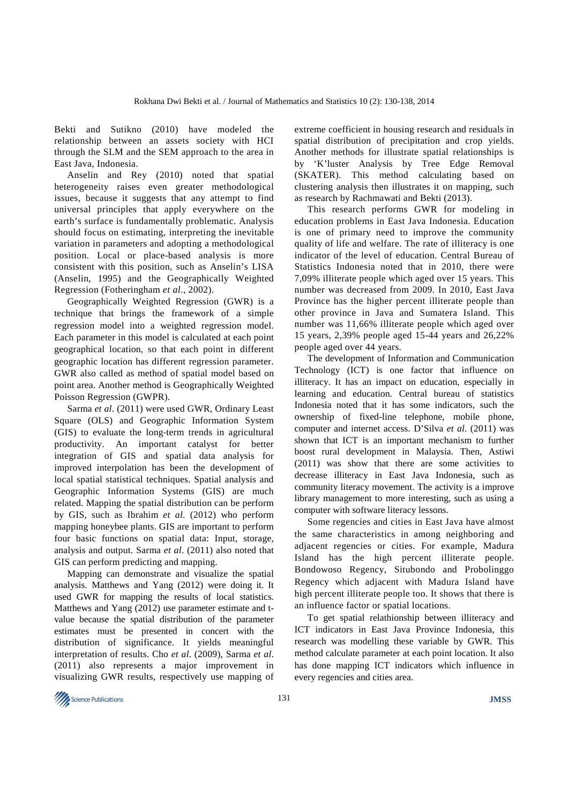Bekti and Sutikno (2010) have modeled the relationship between an assets society with HCI through the SLM and the SEM approach to the area in East Java, Indonesia.

Anselin and Rey (2010) noted that spatial heterogeneity raises even greater methodological issues, because it suggests that any attempt to find universal principles that apply everywhere on the earth's surface is fundamentally problematic. Analysis should focus on estimating, interpreting the inevitable variation in parameters and adopting a methodological position. Local or place-based analysis is more consistent with this position, such as Anselin's LISA (Anselin, 1995) and the Geographically Weighted Regression (Fotheringham *et al*., 2002).

Geographically Weighted Regression (GWR) is a technique that brings the framework of a simple regression model into a weighted regression model. Each parameter in this model is calculated at each point geographical location, so that each point in different geographic location has different regression parameter. GWR also called as method of spatial model based on point area. Another method is Geographically Weighted Poisson Regression (GWPR).

Sarma *et al*. (2011) were used GWR, Ordinary Least Square (OLS) and Geographic Information System (GIS) to evaluate the long‐term trends in agricultural productivity. An important catalyst for better integration of GIS and spatial data analysis for improved interpolation has been the development of local spatial statistical techniques. Spatial analysis and Geographic Information Systems (GIS) are much related. Mapping the spatial distribution can be perform by GIS, such as Ibrahim *et al*. (2012) who perform mapping honeybee plants. GIS are important to perform four basic functions on spatial data: Input, storage, analysis and output. Sarma *et al*. (2011) also noted that GIS can perform predicting and mapping.

Mapping can demonstrate and visualize the spatial analysis. Matthews and Yang (2012) were doing it. It used GWR for mapping the results of local statistics. Matthews and Yang (2012) use parameter estimate and tvalue because the spatial distribution of the parameter estimates must be presented in concert with the distribution of significance. It yields meaningful interpretation of results. Cho *et al*. (2009), Sarma *et al*. (2011) also represents a major improvement in visualizing GWR results, respectively use mapping of

extreme coefficient in housing research and residuals in spatial distribution of precipitation and crop yields. Another methods for illustrate spatial relationships is by 'K'luster Analysis by Tree Edge Removal (SKATER). This method calculating based on clustering analysis then illustrates it on mapping, such as research by Rachmawati and Bekti (2013).

This research performs GWR for modeling in education problems in East Java Indonesia. Education is one of primary need to improve the community quality of life and welfare. The rate of illiteracy is one indicator of the level of education. Central Bureau of Statistics Indonesia noted that in 2010, there were 7,09% illiterate people which aged over 15 years. This number was decreased from 2009. In 2010, East Java Province has the higher percent illiterate people than other province in Java and Sumatera Island. This number was 11,66% illiterate people which aged over 15 years, 2,39% people aged 15-44 years and 26,22% people aged over 44 years.

The development of Information and Communication Technology (ICT) is one factor that influence on illiteracy. It has an impact on education, especially in learning and education. Central bureau of statistics Indonesia noted that it has some indicators, such the ownership of fixed-line telephone, mobile phone, computer and internet access. D'Silva *et al*. (2011) was shown that ICT is an important mechanism to further boost rural development in Malaysia. Then, Astiwi (2011) was show that there are some activities to decrease illiteracy in East Java Indonesia, such as community literacy movement. The activity is a improve library management to more interesting, such as using a computer with software literacy lessons.

Some regencies and cities in East Java have almost the same characteristics in among neighboring and adjacent regencies or cities. For example, Madura Island has the high percent illiterate people. Bondowoso Regency, Situbondo and Probolinggo Regency which adjacent with Madura Island have high percent illiterate people too. It shows that there is an influence factor or spatial locations.

To get spatial relathionship between illiteracy and ICT indicators in East Java Province Indonesia, this research was modelling these variable by GWR. This method calculate parameter at each point location. It also has done mapping ICT indicators which influence in every regencies and cities area.

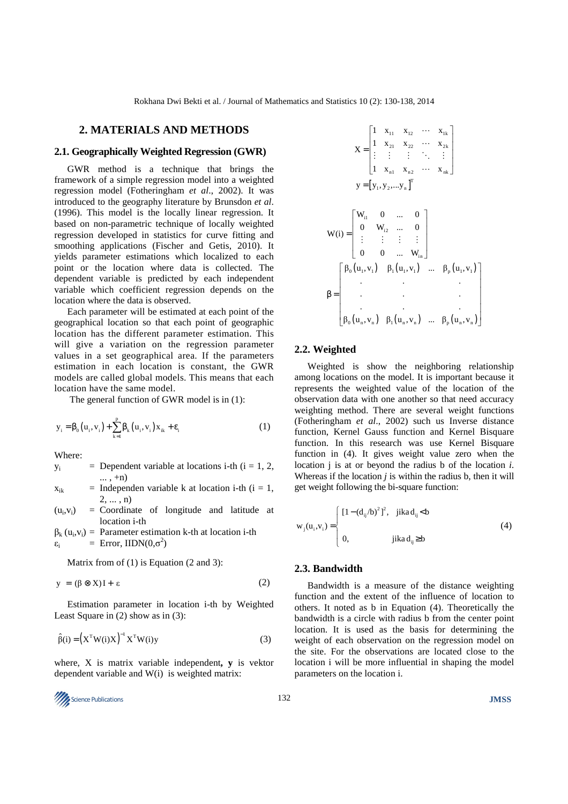#### **2. MATERIALS AND METHODS**

#### **2.1. Geographically Weighted Regression (GWR)**

GWR method is a technique that brings the framework of a simple regression model into a weighted regression model (Fotheringham *et al*., 2002). It was introduced to the geography literature by Brunsdon *et al*. (1996). This model is the locally linear regression. It based on non-parametric technique of locally weighted regression developed in statistics for curve fitting and smoothing applications (Fischer and Getis, 2010). It yields parameter estimations which localized to each point or the location where data is collected. The dependent variable is predicted by each independent variable which coefficient regression depends on the location where the data is observed.

Each parameter will be estimated at each point of the geographical location so that each point of geographic location has the different parameter estimation. This will give a variation on the regression parameter values in a set geographical area. If the parameters estimation in each location is constant, the GWR models are called global models. This means that each location have the same model.

The general function of GWR model is in (1):

$$
y_{i} = \beta_{0}(u_{i}, v_{i}) + \sum_{k=1}^{p} \beta_{k}(u_{i}, v_{i}) x_{ik} + \varepsilon_{i}
$$
 (1)

Where:

$$
y_i
$$
 = Dependent variable at locations i-th (i = 1, 2, ..., +n)

$$
x_{ik}
$$
 = Independent variable k at location i-th (i = 1,  
2, ..., n)

 $(u_i, v_i)$  $=$  Coordinate of longitude and latitude at location i-th

 $\beta_k$  (u<sub>i</sub>, v<sub>i</sub>) = Parameter estimation k-th at location i-th εi  $=$  Error, IIDN( $0,\sigma^2$ )

Matrix from of  $(1)$  is Equation  $(2 \text{ and } 3)$ :

$$
y = (\beta \otimes X)I + \varepsilon \tag{2}
$$

Estimation parameter in location i-th by Weighted Least Square in (2) show as in (3):

$$
\hat{\beta}(i) = \left(X^{\mathrm{T}}W(i)X\right)^{-1}X^{\mathrm{T}}W(i)y\tag{3}
$$

where, X is matrix variable independent**, y** is vektor dependent variable and W(i) is weighted matrix:

**Science Publications JMSS JMSS JMSS** 

$$
X = \begin{bmatrix} 1 & x_{11} & x_{12} & \cdots & x_{1k} \\ 1 & x_{21} & x_{22} & \cdots & x_{2k} \\ \vdots & \vdots & \vdots & \ddots & \vdots \\ 1 & x_{n1} & x_{n2} & \cdots & x_{nk} \end{bmatrix}
$$

$$
y = [y_1, y_2, \dots y_n]^T
$$

$$
W(i) = \begin{bmatrix} W_{i1} & 0 & \cdots & 0 \\ 0 & W_{i2} & \cdots & 0 \\ \vdots & \vdots & \vdots & \vdots \\ 0 & 0 & \cdots & W_{in} \end{bmatrix}
$$

$$
\beta = \begin{bmatrix} \beta_0(u_1, v_1) & \beta_1(u_1, v_1) & \cdots & \beta_p(u_1, v_1) \\ \vdots & \vdots & \vdots & \vdots \\ 0 & \cdots & \cdots & \cdots \\ \beta_0(u_n, v_n) & \beta_1(u_n, v_n) & \cdots & \beta_p(u_n, v_n) \end{bmatrix}
$$

#### **2.2. Weighted**

Weighted is show the neighboring relationship among locations on the model. It is important because it represents the weighted value of the location of the observation data with one another so that need accuracy weighting method. There are several weight functions (Fotheringham *et al*., 2002) such us Inverse distance function, Kernel Gauss function and Kernel Bisquare function. In this research was use Kernel Bisquare function in (4). It gives weight value zero when the location j is at or beyond the radius b of the location *i*. Whereas if the location *j* is within the radius b, then it will get weight following the bi-square function:

$$
w_{j}(u_{i}, v_{i}) = \begin{cases} [1 - (d_{ij}/b)^{2}]^{2}, & jikad_{ij} < b \\ 0, & jikad_{ij} \ge b \end{cases}
$$
 (4)

### **2.3. Bandwidth**

Bandwidth is a measure of the distance weighting function and the extent of the influence of location to others. It noted as b in Equation (4). Theoretically the bandwidth is a circle with radius b from the center point location. It is used as the basis for determining the weight of each observation on the regression model on the site. For the observations are located close to the location i will be more influential in shaping the model parameters on the location i.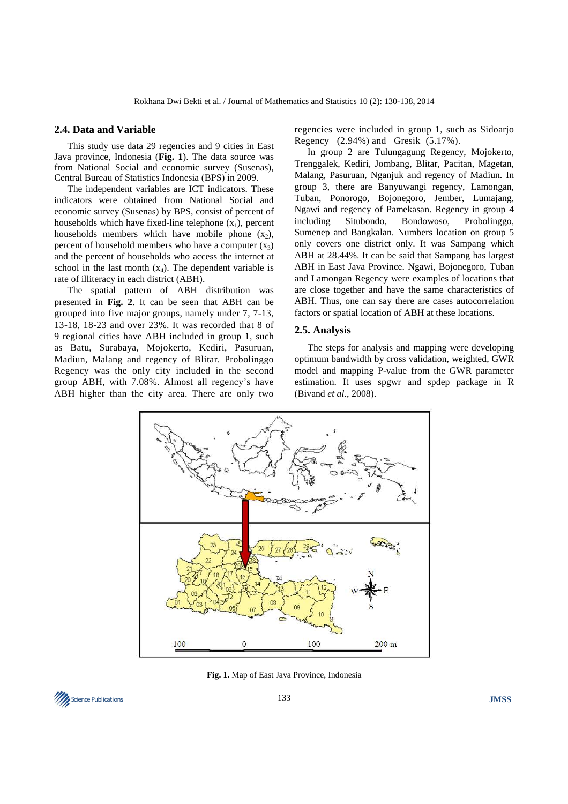#### **2.4. Data and Variable**

This study use data 29 regencies and 9 cities in East Java province, Indonesia (**Fig. 1**). The data source was from National Social and economic survey (Susenas), Central Bureau of Statistics Indonesia (BPS) in 2009.

The independent variables are ICT indicators. These indicators were obtained from National Social and economic survey (Susenas) by BPS, consist of percent of households which have fixed-line telephone  $(x_1)$ , percent households members which have mobile phone  $(x_2)$ , percent of household members who have a computer  $(x_3)$ and the percent of households who access the internet at school in the last month  $(x_4)$ . The dependent variable is rate of illiteracy in each district (ABH).

The spatial pattern of ABH distribution was presented in **Fig. 2**. It can be seen that ABH can be grouped into five major groups, namely under 7, 7-13, 13-18, 18-23 and over 23%. It was recorded that 8 of 9 regional cities have ABH included in group 1, such as Batu, Surabaya, Mojokerto, Kediri, Pasuruan, Madiun, Malang and regency of Blitar. Probolinggo Regency was the only city included in the second group ABH, with 7.08%. Almost all regency's have ABH higher than the city area. There are only two regencies were included in group 1, such as Sidoarjo Regency (2.94%) and Gresik (5.17%).

In group 2 are Tulungagung Regency, Mojokerto, Trenggalek, Kediri, Jombang, Blitar, Pacitan, Magetan, Malang, Pasuruan, Nganjuk and regency of Madiun. In group 3, there are Banyuwangi regency, Lamongan, Tuban, Ponorogo, Bojonegoro, Jember, Lumajang, Ngawi and regency of Pamekasan. Regency in group 4 including Situbondo, Bondowoso, Probolinggo, Sumenep and Bangkalan. Numbers location on group 5 only covers one district only. It was Sampang which ABH at 28.44%. It can be said that Sampang has largest ABH in East Java Province. Ngawi, Bojonegoro, Tuban and Lamongan Regency were examples of locations that are close together and have the same characteristics of ABH. Thus, one can say there are cases autocorrelation factors or spatial location of ABH at these locations.

#### **2.5. Analysis**

The steps for analysis and mapping were developing optimum bandwidth by cross validation, weighted, GWR model and mapping P-value from the GWR parameter estimation. It uses spgwr and spdep package in R (Bivand *et al*., 2008).



**Fig. 1.** Map of East Java Province, Indonesia

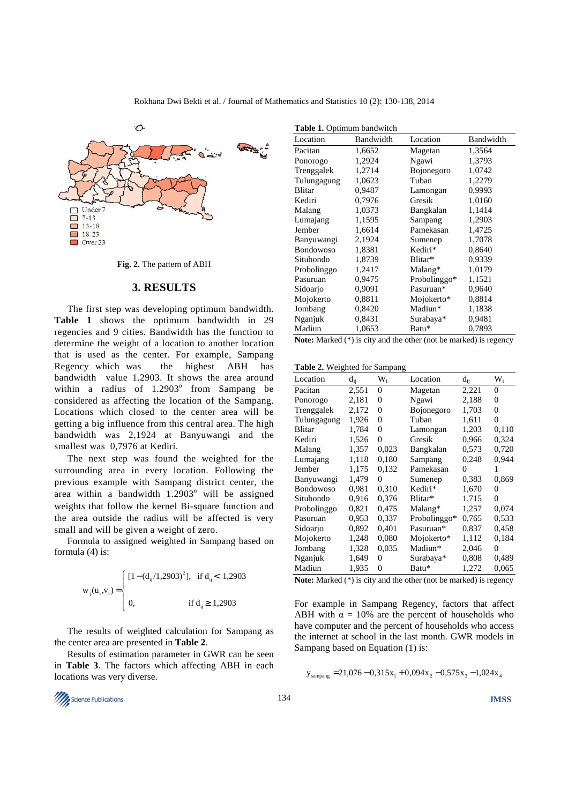

**Fig. 2.** The pattern of ABH

#### **3. RESULTS**

The first step was developing optimum bandwidth. **Table 1** shows the optimum bandwidth in 29 regencies and 9 cities. Bandwidth has the function to determine the weight of a location to another location that is used as the center. For example, Sampang Regency which was the highest ABH has bandwidth value 1.2903. It shows the area around within a radius of  $1.2903^{\circ}$  from Sampang be considered as affecting the location of the Sampang. Locations which closed to the center area will be getting a big influence from this central area. The high bandwidth was 2,1924 at Banyuwangi and the smallest was 0,7976 at Kediri.

The next step was found the weighted for the surrounding area in every location. Following the previous example with Sampang district center, the area within a bandwidth  $1.2903^{\circ}$  will be assigned weights that follow the kernel Bi-square function and the area outside the radius will be affected is very small and will be given a weight of zero.

Formula to assigned weighted in Sampang based on formula (4) is:

$$
w_{j}(u_{i}, v_{i}) = \begin{cases} [1 - (d_{ij}/1, 2903)^{2}], & \text{if } d_{ij} < 1, 2903 \\ 0, & \text{if } d_{ij} \ge 1, 2903 \end{cases}
$$

The results of weighted calculation for Sampang as the center area are presented in **Table 2**.

Results of estimation parameter in GWR can be seen in **Table 3**. The factors which affecting ABH in each locations was very diverse.



**Note:** Marked (\*) is city and the other (not be marked) is regency

**Table 2.** Weighted for Sampang

| Location    | $d_{ii}$ | $W_i$ | Location     | $d_{ii}$ | $W_i$ |
|-------------|----------|-------|--------------|----------|-------|
| Pacitan     | 2,551    | 0     | Magetan      | 2,221    | 0     |
| Ponorogo    | 2,181    | 0     | Ngawi        | 2,188    | 0     |
| Trenggalek  | 2,172    | 0     | Bojonegoro   | 1,703    | 0     |
| Tulungagung | 1,926    | 0     | Tuban        | 1,611    | 0     |
| Blitar      | 1,784    | 0     | Lamongan     | 1,203    | 0,110 |
| Kediri      | 1,526    | 0     | Gresik       | 0,966    | 0,324 |
| Malang      | 1,357    | 0,023 | Bangkalan    | 0,573    | 0,720 |
| Lumajang    | 1,118    | 0.180 | Sampang      | 0,248    | 0,944 |
| Jember      | 1,175    | 0,132 | Pamekasan    | 0        | 1     |
| Banyuwangi  | 1,479    | 0     | Sumenep      | 0.383    | 0,869 |
| Bondowoso   | 0,981    | 0.310 | Kediri*      | 1,670    | 0     |
| Situbondo   | 0,916    | 0,376 | Blitar*      | 1,715    | 0     |
| Probolinggo | 0,821    | 0,475 | Malang*      | 1,257    | 0,074 |
| Pasuruan    | 0,953    | 0,337 | Probolinggo* | 0.765    | 0.533 |
| Sidoarjo    | 0,892    | 0,401 | Pasuruan*    | 0,837    | 0,458 |
| Mojokerto   | 1,248    | 0.080 | Mojokerto*   | 1,112    | 0.184 |
| Jombang     | 1,328    | 0,035 | Madiun*      | 2,046    | 0     |
| Nganjuk     | 1,649    | 0     | Surabaya*    | 0,808    | 0,489 |
| Madiun      | 1,935    | 0     | Batu*        | 1,272    | 0,065 |

**Note:** Marked (\*) is city and the other (not be marked) is regency

For example in Sampang Regency, factors that affect ABH with  $\alpha = 10\%$  are the percent of households who have computer and the percent of households who access the internet at school in the last month. GWR models in Sampang based on Equation (1) is:

 $y_{\text{samples}} = 21,076 - 0,315x_1 + 0,094x_2 - 0,575x_3 - 1,024x_4$ 

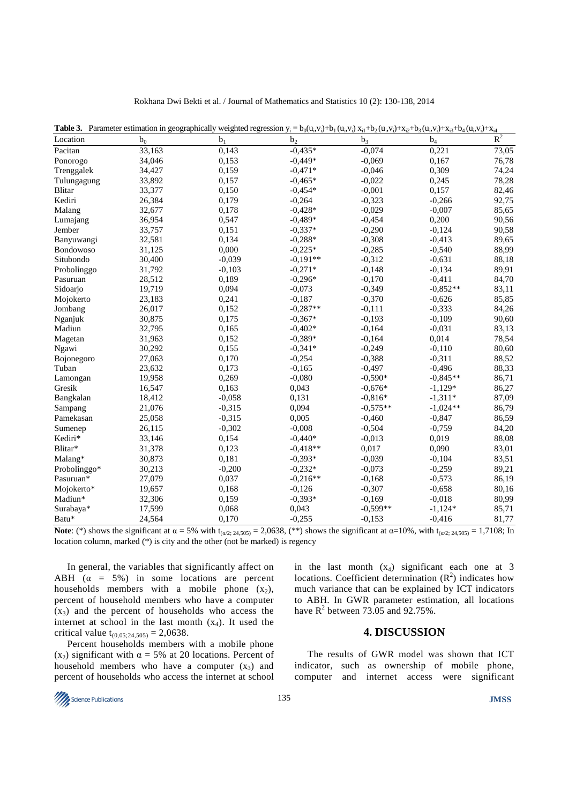| Location      | $b_0$  | b <sub>1</sub> | $\cup$ $\cup$ $\cup$<br>b <sub>2</sub> | b <sub>3</sub> | $-4($<br>$b_4$ | ۰۰14<br>$R^2$ |
|---------------|--------|----------------|----------------------------------------|----------------|----------------|---------------|
| Pacitan       | 33,163 | 0,143          | $-0,435*$                              | $-0,074$       | 0,221          | 73,05         |
| Ponorogo      | 34,046 | 0,153          | $-0,449*$                              | $-0,069$       | 0,167          | 76,78         |
| Trenggalek    | 34,427 | 0,159          | $-0.471*$                              | $-0,046$       | 0,309          | 74,24         |
| Tulungagung   | 33,892 | 0,157          | $-0.465*$                              | $-0,022$       | 0,245          | 78,28         |
| <b>Blitar</b> | 33,377 | 0,150          | $-0.454*$                              | $-0,001$       | 0,157          | 82,46         |
| Kediri        | 26,384 | 0,179          | $-0,264$                               | $-0,323$       | $-0,266$       | 92,75         |
| Malang        | 32,677 | 0,178          | $-0,428*$                              | $-0,029$       | $-0,007$       | 85,65         |
| Lumajang      | 36,954 | 0,547          | $-0,489*$                              | $-0,454$       | 0,200          | 90,56         |
| Jember        | 33,757 | 0,151          | $-0,337*$                              | $-0,290$       | $-0,124$       | 90,58         |
| Banyuwangi    | 32,581 | 0,134          | $-0,288*$                              | $-0,308$       | $-0,413$       | 89,65         |
| Bondowoso     | 31,125 | 0,000          | $-0,225*$                              | $-0,285$       | $-0,540$       | 88,99         |
| Situbondo     | 30,400 | $-0.039$       | $-0,191**$                             | $-0,312$       | $-0.631$       | 88,18         |
| Probolinggo   | 31,792 | $-0,103$       | $-0,271*$                              | $-0,148$       | $-0,134$       | 89,91         |
| Pasuruan      | 28,512 | 0,189          | $-0,296*$                              | $-0,170$       | $-0,411$       | 84,70         |
| Sidoarjo      | 19,719 | 0,094          | $-0,073$                               | $-0,349$       | $-0,852**$     | 83,11         |
| Mojokerto     | 23,183 | 0,241          | $-0.187$                               | $-0,370$       | $-0,626$       | 85,85         |
| Jombang       | 26,017 | 0,152          | $-0,287**$                             | $-0,111$       | $-0,333$       | 84,26         |
| Nganjuk       | 30,875 | 0,175          | $-0,367*$                              | $-0,193$       | $-0,109$       | 90,60         |
| Madiun        | 32,795 | 0,165          | $-0.402*$                              | $-0,164$       | $-0.031$       | 83,13         |
| Magetan       | 31,963 | 0,152          | $-0.389*$                              | $-0,164$       | 0,014          | 78,54         |
| Ngawi         | 30,292 | 0,155          | $-0,341*$                              | $-0,249$       | $-0,110$       | 80,60         |
| Bojonegoro    | 27,063 | 0,170          | $-0,254$                               | $-0,388$       | $-0,311$       | 88,52         |
| Tuban         | 23,632 | 0,173          | $-0,165$                               | $-0,497$       | $-0,496$       | 88,33         |
| Lamongan      | 19,958 | 0,269          | $-0,080$                               | $-0,590*$      | $-0.845**$     | 86,71         |
| Gresik        | 16,547 | 0,163          | 0,043                                  | $-0,676*$      | $-1,129*$      | 86,27         |
| Bangkalan     | 18,412 | $-0,058$       | 0,131                                  | $-0,816*$      | $-1,311*$      | 87,09         |
| Sampang       | 21,076 | $-0.315$       | 0,094                                  | $-0,575**$     | $-1,024**$     | 86,79         |
| Pamekasan     | 25,058 | $-0,315$       | 0,005                                  | $-0,460$       | $-0,847$       | 86,59         |
| Sumenep       | 26,115 | $-0,302$       | $-0.008$                               | $-0,504$       | $-0,759$       | 84,20         |
| Kediri*       | 33,146 | 0,154          | $-0.440*$                              | $-0,013$       | 0,019          | 88,08         |
| Blitar*       | 31,378 | 0,123          | $-0.418**$                             | 0,017          | 0,090          | 83,01         |
| Malang*       | 30,873 | 0,181          | $-0,393*$                              | $-0,039$       | $-0,104$       | 83,51         |
| Probolinggo*  | 30,213 | $-0,200$       | $-0.232*$                              | $-0,073$       | $-0,259$       | 89,21         |
| Pasuruan*     | 27,079 | 0,037          | $-0,216**$                             | $-0,168$       | $-0,573$       | 86,19         |
| Mojokerto*    | 19,657 | 0,168          | $-0,126$                               | $-0,307$       | $-0,658$       | 80,16         |
| Madiun*       | 32,306 | 0,159          | $-0,393*$                              | $-0.169$       | $-0.018$       | 80,99         |
| Surabaya*     | 17,599 | 0,068          | 0,043                                  | $-0,599**$     | $-1,124*$      | 85,71         |
| Batu*         | 24,564 | 0,170          | $-0,255$                               | $-0,153$       | $-0,416$       | 81,77         |

**Table 3.** Parameter estimation in geographically weighted regression  $y_i = b_0(u_i, v_i) + b_1(u_i, v_i)$   $x_{i1} + b_2(u_i, v_i) + x_{i2} + b_3(u_i, v_i) + x_{i3} + b_4(u_i, v_i) + x_{i4}$ 

**Note**: (\*) shows the significant at  $\alpha = 5\%$  with t<sub>( $\alpha$ 2; 24,505)</sub> = 2,0638, (\*\*) shows the significant at  $\alpha$ =10%, with t<sub>( $\alpha$ 2; 24,505)</sub> = 1,7108; In location column, marked (\*) is city and the other (not be marked) is regency

In general, the variables that significantly affect on ABH  $(\alpha = 5\%)$  in some locations are percent households members with a mobile phone  $(x_2)$ , percent of household members who have a computer  $(x_3)$  and the percent of households who access the internet at school in the last month  $(x_4)$ . It used the critical value  $t_{(0,05;24,505)} = 2,0638$ .

Percent households members with a mobile phone (x<sub>2</sub>) significant with  $\alpha = 5\%$  at 20 locations. Percent of household members who have a computer  $(x_3)$  and percent of households who access the internet at school

in the last month  $(x_4)$  significant each one at 3 locations. Coefficient determination  $(R^2)$  indicates how much variance that can be explained by ICT indicators to ABH. In GWR parameter estimation, all locations have  $R^2$  between 73.05 and 92.75%.

#### **4. DISCUSSION**

The results of GWR model was shown that ICT indicator, such as ownership of mobile phone, computer and internet access were significant

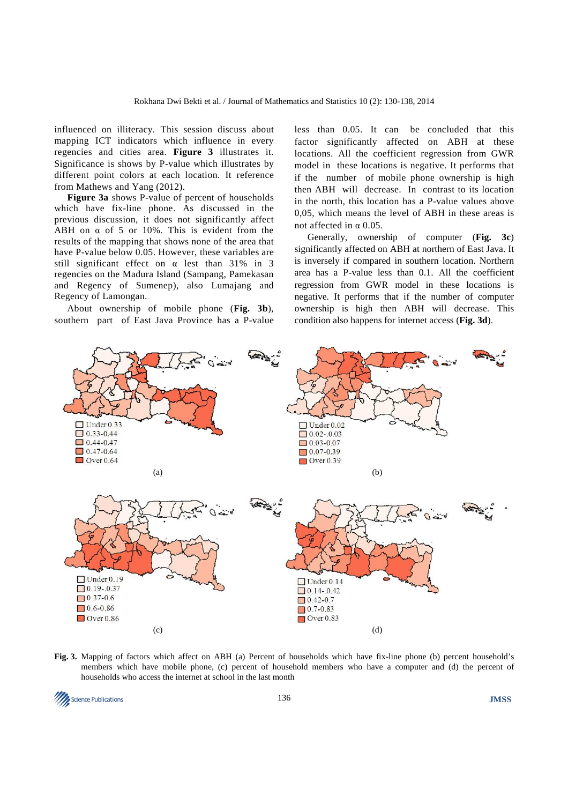influenced on illiteracy. This session discuss about mapping ICT indicators which influence in every regencies and cities area. **Figure 3** illustrates it. Significance is shows by P-value which illustrates by different point colors at each location. It reference from Mathews and Yang (2012).

**Figure 3a** shows P-value of percent of households which have fix-line phone. As discussed in the previous discussion, it does not significantly affect ABH on  $\alpha$  of 5 or 10%. This is evident from the results of the mapping that shows none of the area that have P-value below 0.05. However, these variables are still significant effect on α lest than 31% in 3 regencies on the Madura Island (Sampang, Pamekasan and Regency of Sumenep), also Lumajang and Regency of Lamongan.

About ownership of mobile phone (**Fig. 3b**), southern part of East Java Province has a P-value less than 0.05. It can be concluded that this factor significantly affected on ABH at these locations. All the coefficient regression from GWR model in these locations is negative. It performs that if the number of mobile phone ownership is high then ABH will decrease. In contrast to its location in the north, this location has a P-value values above 0,05, which means the level of ABH in these areas is not affected in α 0.05.

Generally, ownership of computer (**Fig. 3c**) significantly affected on ABH at northern of East Java. It is inversely if compared in southern location. Northern area has a P-value less than 0.1. All the coefficient regression from GWR model in these locations is negative. It performs that if the number of computer ownership is high then ABH will decrease. This condition also happens for internet access (**Fig. 3d**).



**Fig. 3.** Mapping of factors which affect on ABH (a) Percent of households which have fix-line phone (b) percent household's members which have mobile phone, (c) percent of household members who have a computer and (d) the percent of households who access the internet at school in the last month

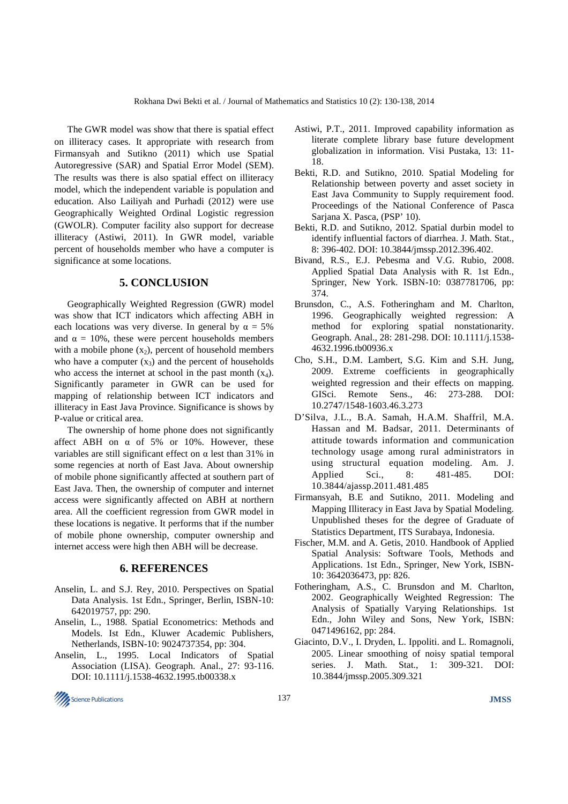The GWR model was show that there is spatial effect on illiteracy cases. It appropriate with research from Firmansyah and Sutikno (2011) which use Spatial Autoregressive (SAR) and Spatial Error Model (SEM). The results was there is also spatial effect on illiteracy model, which the independent variable is population and education. Also Lailiyah and Purhadi (2012) were use Geographically Weighted Ordinal Logistic regression (GWOLR). Computer facility also support for decrease illiteracy (Astiwi, 2011). In GWR model, variable percent of households member who have a computer is significance at some locations.

## **5. CONCLUSION**

Geographically Weighted Regression (GWR) model was show that ICT indicators which affecting ABH in each locations was very diverse. In general by  $\alpha = 5\%$ and  $\alpha = 10\%$ , these were percent households members with a mobile phone  $(x_2)$ , percent of household members who have a computer  $(x_3)$  and the percent of households who access the internet at school in the past month  $(x_4)$ . Significantly parameter in GWR can be used for mapping of relationship between ICT indicators and illiteracy in East Java Province. Significance is shows by P-value or critical area.

The ownership of home phone does not significantly affect ABH on  $\alpha$  of 5% or 10%. However, these variables are still significant effect on  $\alpha$  lest than 31% in some regencies at north of East Java. About ownership of mobile phone significantly affected at southern part of East Java. Then, the ownership of computer and internet access were significantly affected on ABH at northern area. All the coefficient regression from GWR model in these locations is negative. It performs that if the number of mobile phone ownership, computer ownership and internet access were high then ABH will be decrease.

## **6. REFERENCES**

- Anselin, L. and S.J. Rey, 2010. Perspectives on Spatial Data Analysis. 1st Edn., Springer, Berlin, ISBN-10: 642019757, pp: 290.
- Anselin, L., 1988. Spatial Econometrics: Methods and Models. Ist Edn., Kluwer Academic Publishers, Netherlands, ISBN-10: 9024737354, pp: 304.
- Anselin, L., 1995. Local Indicators of Spatial Association (LISA). Geograph. Anal., 27: 93-116. DOI: 10.1111/j.1538-4632.1995.tb00338.x
- Astiwi, P.T., 2011. Improved capability information as literate complete library base future development globalization in information. Visi Pustaka, 13: 11- 18.
- Bekti, R.D. and Sutikno, 2010. Spatial Modeling for Relationship between poverty and asset society in East Java Community to Supply requirement food. Proceedings of the National Conference of Pasca Sarjana X. Pasca, (PSP' 10).
- Bekti, R.D. and Sutikno, 2012. Spatial durbin model to identify influential factors of diarrhea. J. Math. Stat., 8: 396-402. DOI: 10.3844/jmssp.2012.396.402.
- Bivand, R.S., E.J. Pebesma and V.G. Rubio, 2008. Applied Spatial Data Analysis with R. 1st Edn., Springer, New York. ISBN-10: 0387781706, pp: 374.
- Brunsdon, C., A.S. Fotheringham and M. Charlton, 1996. Geographically weighted regression: A method for exploring spatial nonstationarity. Geograph. Anal., 28: 281-298. DOI: 10.1111/j.1538- 4632.1996.tb00936.x
- Cho, S.H., D.M. Lambert, S.G. Kim and S.H. Jung, 2009. Extreme coefficients in geographically weighted regression and their effects on mapping. GISci. Remote Sens., 46: 273-288. DOI: 10.2747/1548-1603.46.3.273
- D'Silva, J.L., B.A. Samah, H.A.M. Shaffril, M.A. Hassan and M. Badsar, 2011. Determinants of attitude towards information and communication technology usage among rural administrators in using structural equation modeling. Am. J. Applied Sci., 8: 481-485. DOI: 10.3844/ajassp.2011.481.485
- Firmansyah, B.E and Sutikno, 2011. Modeling and Mapping Illiteracy in East Java by Spatial Modeling. Unpublished theses for the degree of Graduate of Statistics Department, ITS Surabaya, Indonesia.
- Fischer, M.M. and A. Getis, 2010. Handbook of Applied Spatial Analysis: Software Tools, Methods and Applications. 1st Edn., Springer, New York, ISBN-10: 3642036473, pp: 826.
- Fotheringham, A.S., C. Brunsdon and M. Charlton, 2002. Geographically Weighted Regression: The Analysis of Spatially Varying Relationships. 1st Edn., John Wiley and Sons, New York, ISBN: 0471496162, pp: 284.
- Giacinto, D.V., I. Dryden, L. Ippoliti. and L. Romagnoli, 2005. Linear smoothing of noisy spatial temporal series. J. Math. Stat., 1: 309-321. DOI: 10.3844/jmssp.2005.309.321